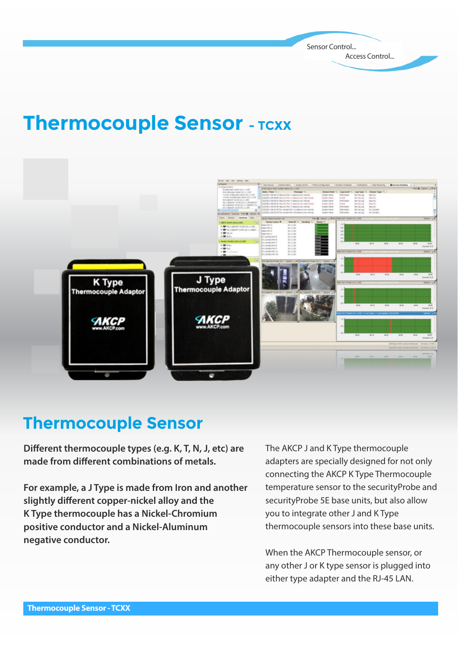Sensor Control... Access Control...

# **Thermocouple Sensor - TCXX**



#### **Thermocouple Sensor**

**Different thermocouple types (e.g. K, T, N, J, etc) are** made from different combinations of metals.

**For example, a J Type is made from Iron and another**  slightly different copper-nickel alloy and the **K Type thermocouple has a Nickel-Chromium positive conductor and a Nickel-Aluminum negative conductor.** 

The AKCP J and K Type thermocouple adapters are specially designed for not only connecting the AKCP K Type Thermocouple temperature sensor to the securityProbe and securityProbe 5E base units, but also allow you to integrate other J and K Type thermocouple sensors into these base units.

When the AKCP Thermocouple sensor, or any other J or K type sensor is plugged into either type adapter and the RJ-45 LAN.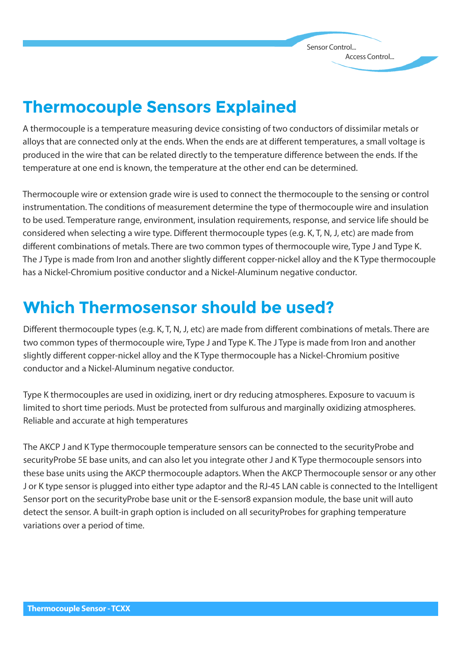Sensor Control... Access Control...

## **Thermocouple Sensors Explained**

A thermocouple is a temperature measuring device consisting of two conductors of dissimilar metals or alloys that are connected only at the ends. When the ends are at different temperatures, a small voltage is produced in the wire that can be related directly to the temperature difference between the ends. If the temperature at one end is known, the temperature at the other end can be determined.

Thermocouple wire or extension grade wire is used to connect the thermocouple to the sensing or control instrumentation. The conditions of measurement determine the type of thermocouple wire and insulation to be used. Temperature range, environment, insulation requirements, response, and service life should be considered when selecting a wire type. Different thermocouple types (e.g. K, T, N, J, etc) are made from different combinations of metals. There are two common types of thermocouple wire, Type J and Type K. The J Type is made from Iron and another slightly different copper-nickel alloy and the K Type thermocouple has a Nickel-Chromium positive conductor and a Nickel-Aluminum negative conductor.

#### **Which Thermosensor should be used?**

Different thermocouple types (e.g. K, T, N, J, etc) are made from different combinations of metals. There are two common types of thermocouple wire, Type J and Type K. The J Type is made from Iron and another slightly different copper-nickel alloy and the K Type thermocouple has a Nickel-Chromium positive conductor and a Nickel-Aluminum negative conductor.

Type K thermocouples are used in oxidizing, inert or dry reducing atmospheres. Exposure to vacuum is limited to short time periods. Must be protected from sulfurous and marginally oxidizing atmospheres. Reliable and accurate at high temperatures

The AKCP J and K Type thermocouple temperature sensors can be connected to the securityProbe and securityProbe 5E base units, and can also let you integrate other J and K Type thermocouple sensors into these base units using the AKCP thermocouple adaptors. When the AKCP Thermocouple sensor or any other J or K type sensor is plugged into either type adaptor and the RJ-45 LAN cable is connected to the Intelligent Sensor port on the securityProbe base unit or the E-sensor8 expansion module, the base unit will auto detect the sensor. A built-in graph option is included on all securityProbes for graphing temperature variations over a period of time.